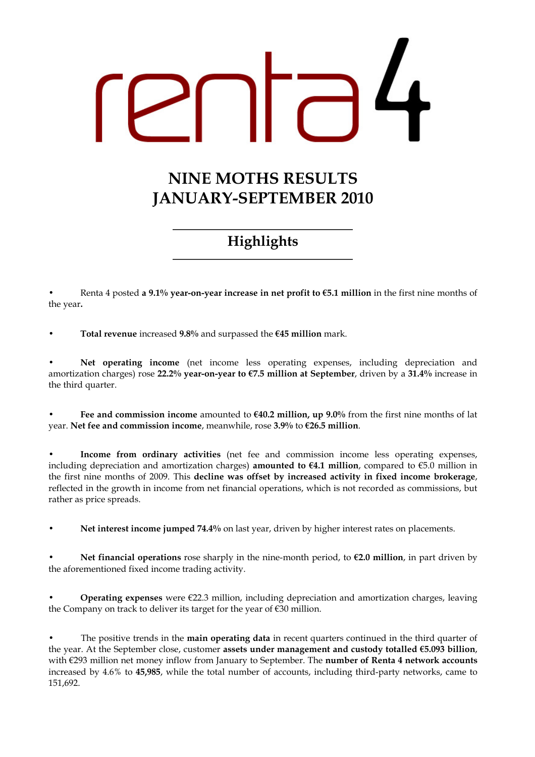# NINE MOTHS RESULTS JANUARY-SEPTEMBER 2010

# Highlights

Renta 4 posted a 9.1% year-on-year increase in net profit to  $\epsilon$ 5.1 million in the first nine months of the year.

Total revenue increased  $9.8\%$  and surpassed the  $€45$  million mark.

Net operating income (net income less operating expenses, including depreciation and amortization charges) rose 22.2% year-on-year to  $\epsilon$ 7.5 million at September, driven by a 31.4% increase in the third quarter.

Fee and commission income amounted to  $640.2$  million, up 9.0% from the first nine months of lat year. Net fee and commission income, meanwhile, rose 3.9% to €26.5 million.

Income from ordinary activities (net fee and commission income less operating expenses, including depreciation and amortization charges) **amounted to**  $\epsilon$ **4.1 million**, compared to  $\epsilon$ 5.0 million in the first nine months of 2009. This decline was offset by increased activity in fixed income brokerage, reflected in the growth in income from net financial operations, which is not recorded as commissions, but rather as price spreads.

Net interest income jumped 74.4% on last year, driven by higher interest rates on placements.

Net financial operations rose sharply in the nine-month period, to  $\epsilon$ 2.0 million, in part driven by the aforementioned fixed income trading activity.

**Operating expenses** were  $\epsilon$ 22.3 million, including depreciation and amortization charges, leaving the Company on track to deliver its target for the year of €30 million.

The positive trends in the main operating data in recent quarters continued in the third quarter of the year. At the September close, customer assets under management and custody totalled €5.093 billion, with €293 million net money inflow from January to September. The **number of Renta 4 network accounts** increased by 4.6% to 45,985, while the total number of accounts, including third-party networks, came to 151,692.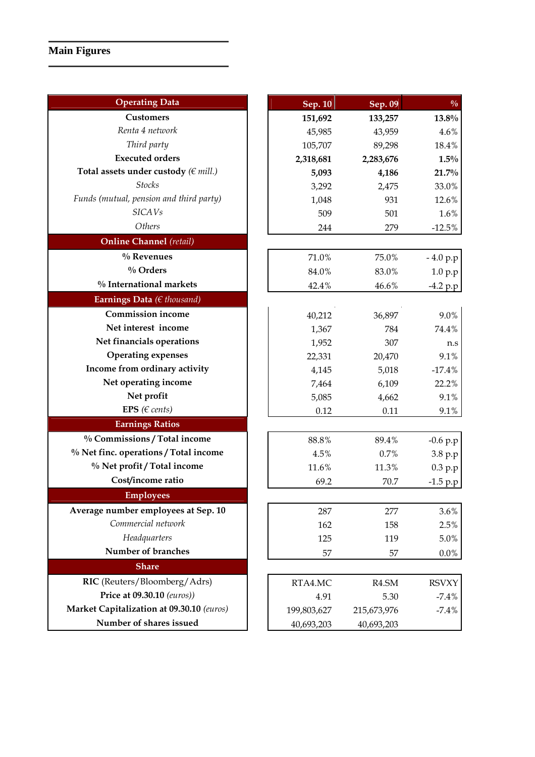# **Main Figures**

| <b>Operating Data</b>                     | Sep. 10     | Sep. 09            | $\frac{0}{0}$ |
|-------------------------------------------|-------------|--------------------|---------------|
| <b>Customers</b>                          | 151,692     | 133,257            | 13.8%         |
| Renta 4 network                           | 45,985      | 43,959             | 4.6%          |
| Third party                               | 105,707     | 89,298             | 18.4%         |
| <b>Executed orders</b>                    | 2,318,681   | 2,283,676          | $1.5\%$       |
| Total assets under custody ( $\in$ mill.) | 5,093       | 4,186              | 21.7%         |
| <b>Stocks</b>                             | 3,292       | 2,475              | 33.0%         |
| Funds (mutual, pension and third party)   | 1,048       | 931                | 12.6%         |
| <b>SICAVs</b>                             | 509         | 501                | 1.6%          |
| Others                                    | 244         | 279                | $-12.5%$      |
| <b>Online Channel</b> (retail)            |             |                    |               |
| $\%$ Revenues                             | 71.0%       | 75.0%              | $-4.0 p.p$    |
| $\%$ Orders                               | 84.0%       | 83.0%              | 1.0 p.p       |
| % International markets                   | 42.4%       | 46.6%              | $-4.2 p.p$    |
| Earnings Data ( $\in$ thousand)           |             |                    |               |
| <b>Commission income</b>                  | 40,212      | 36,897             | 9.0%          |
| Net interest income                       | 1,367       | 784                | 74.4%         |
| Net financials operations                 | 1,952       | 307                | n.s           |
| <b>Operating expenses</b>                 | 22,331      | 20,470             | 9.1%          |
| Income from ordinary activity             | 4,145       | 5,018              | $-17.4%$      |
| Net operating income                      | 7,464       | 6,109              | 22.2%         |
| Net profit                                | 5,085       | 4,662              | 9.1%          |
| EPS ( $\in$ cents)                        | 0.12        | 0.11               | 9.1%          |
| <b>Earnings Ratios</b>                    |             |                    |               |
| % Commissions / Total income              | 88.8%       | 89.4%              | $-0.6 p.p$    |
| % Net finc. operations / Total income     | 4.5%        | 0.7%               | 3.8 p.p       |
| % Net profit / Total income               | 11.6%       | 11.3%              | 0.3 p.p       |
| Cost/income ratio                         | 69.2        | 70.7               | $-1.5 p.p$    |
| <b>Employees</b>                          |             |                    |               |
| Average number employees at Sep. 10       | 287         | 277                | 3.6%          |
| Commercial network                        | 162         | 158                | 2.5%          |
| Headquarters                              | 125         | 119                | 5.0%          |
| Number of branches                        | 57          | 57                 | $0.0\%$       |
| <b>Share</b>                              |             |                    |               |
| RIC (Reuters/Bloomberg/Adrs)              | RTA4.MC     | R <sub>4.</sub> SM | <b>RSVXY</b>  |
| Price at 09.30.10 (euros))                | 4.91        | 5.30               | $-7.4%$       |
| Market Capitalization at 09.30.10 (euros) | 199,803,627 | 215,673,976        | $-7.4%$       |
| Number of shares issued                   | 40,693,203  | 40,693,203         |               |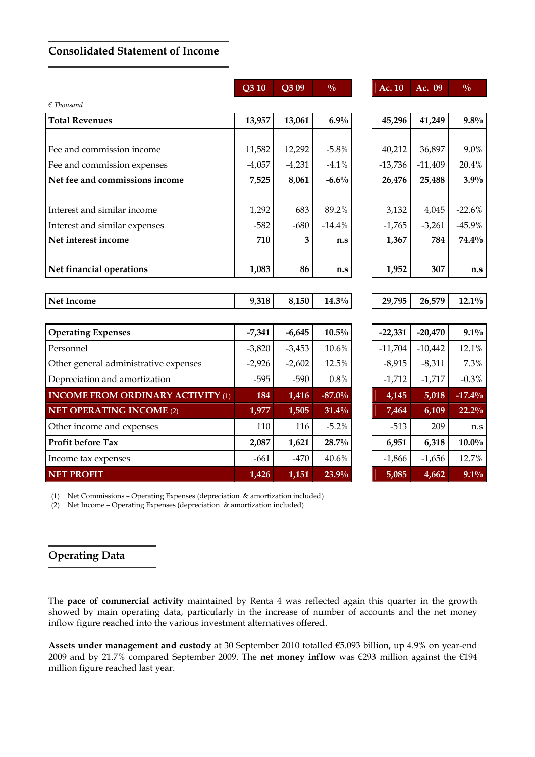# Consolidated Statement of Income

|                                          | $\overline{\text{Q3}}$ 10 | Q3 09    | $\frac{0}{0}$ | Ac. 10    | Ac. 09    | $\frac{0}{0}$ |
|------------------------------------------|---------------------------|----------|---------------|-----------|-----------|---------------|
| $\epsilon$ Thousand                      |                           |          |               |           |           |               |
| <b>Total Revenues</b>                    | 13,957                    | 13,061   | 6.9%          | 45,296    | 41,249    | 9.8%          |
|                                          |                           |          |               |           |           |               |
| Fee and commission income                | 11,582                    | 12,292   | $-5.8%$       | 40,212    | 36,897    | 9.0%          |
| Fee and commission expenses              | $-4,057$                  | $-4,231$ | $-4.1%$       | $-13,736$ | $-11,409$ | 20.4%         |
| Net fee and commissions income           | 7,525                     | 8,061    | $-6.6%$       | 26,476    | 25,488    | 3.9%          |
|                                          |                           |          |               |           |           |               |
| Interest and similar income              | 1,292                     | 683      | 89.2%         | 3,132     | 4,045     | $-22.6%$      |
| Interest and similar expenses            | $-582$                    | $-680$   | $-14.4%$      | $-1,765$  | $-3,261$  | $-45.9%$      |
| Net interest income                      | 710                       | 3        | n.s           | 1,367     | 784       | 74.4%         |
|                                          |                           |          |               |           |           |               |
| Net financial operations                 | 1,083                     | 86       | n.s           | 1,952     | 307       | n.s           |
|                                          |                           |          |               |           |           |               |
| <b>Net Income</b>                        | 9,318                     | 8,150    | $14.3\%$      | 29,795    | 26,579    | $12.1\%$      |
|                                          |                           |          |               |           |           |               |
| <b>Operating Expenses</b>                | $-7,341$                  | $-6,645$ | $10.5\%$      | $-22,331$ | $-20,470$ | $9.1\%$       |
| Personnel                                | $-3,820$                  | $-3,453$ | 10.6%         | $-11,704$ | $-10,442$ | 12.1%         |
| Other general administrative expenses    | $-2,926$                  | $-2,602$ | 12.5%         | $-8,915$  | $-8,311$  | 7.3%          |
| Depreciation and amortization            | $-595$                    | $-590$   | 0.8%          | $-1,712$  | $-1,717$  | $-0.3\%$      |
| <b>INCOME FROM ORDINARY ACTIVITY (1)</b> | 184                       | 1,416    | $-87.0%$      | 4,145     | 5,018     | $-17.4%$      |
| <b>NET OPERATING INCOME (2)</b>          | 1,977                     | 1,505    | 31.4%         | 7,464     | 6,109     | 22.2%         |
| Other income and expenses                | 110                       | 116      | $-5.2%$       | $-513$    | 209       | n.s           |
| Profit before Tax                        | 2,087                     | 1,621    | 28.7%         | 6,951     | 6,318     | $10.0\%$      |
| Income tax expenses                      | $-661$                    | $-470$   | 40.6%         | $-1,866$  | $-1,656$  | 12.7%         |
| <b>NET PROFIT</b>                        | 1,426                     | 1,151    | 23.9%         | 5,085     | 4,662     | 9.1%          |

(1) Net Commissions – Operating Expenses (depreciation & amortization included)

(2) Net Income – Operating Expenses (depreciation & amortization included)

# Operating Data

The pace of commercial activity maintained by Renta 4 was reflected again this quarter in the growth showed by main operating data, particularly in the increase of number of accounts and the net money inflow figure reached into the various investment alternatives offered.

Assets under management and custody at 30 September 2010 totalled €5.093 billion, up 4.9% on year-end 2009 and by 21.7% compared September 2009. The net money inflow was €293 million against the €194 million figure reached last year.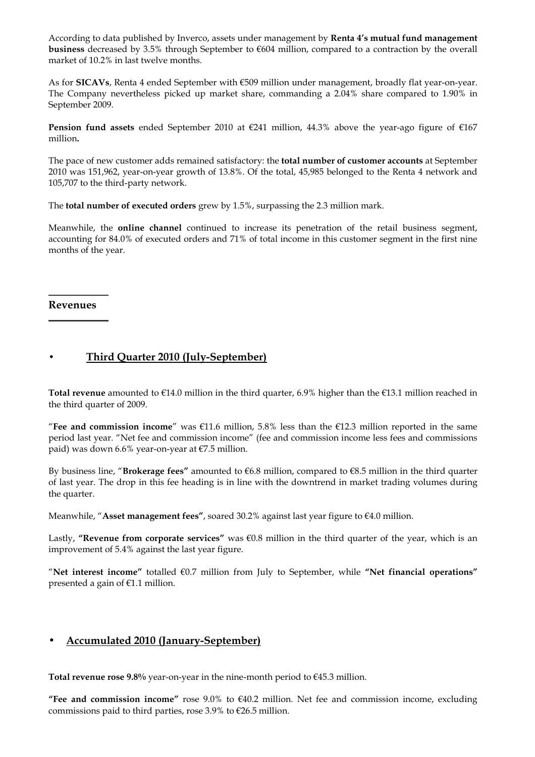According to data published by Inverco, assets under management by Renta 4's mutual fund management business decreased by 3.5% through September to €604 million, compared to a contraction by the overall market of 10.2% in last twelve months.

As for SICAVs, Renta 4 ended September with €509 million under management, broadly flat year-on-year. The Company nevertheless picked up market share, commanding a 2.04% share compared to 1.90% in September 2009.

Pension fund assets ended September 2010 at €241 million, 44.3% above the year-ago figure of €167 million.

The pace of new customer adds remained satisfactory: the total number of customer accounts at September 2010 was 151,962, year-on-year growth of 13.8%. Of the total, 45,985 belonged to the Renta 4 network and 105,707 to the third-party network.

The total number of executed orders grew by 1.5%, surpassing the 2.3 million mark.

Meanwhile, the online channel continued to increase its penetration of the retail business segment, accounting for 84.0% of executed orders and 71% of total income in this customer segment in the first nine months of the year.

Revenues

# • Third Quarter 2010 (July-September)

Total revenue amounted to  $\epsilon$ 14.0 million in the third quarter, 6.9% higher than the  $\epsilon$ 13.1 million reached in the third quarter of 2009.

"Fee and commission income" was  $\epsilon$ 11.6 million, 5.8% less than the  $\epsilon$ 12.3 million reported in the same period last year. "Net fee and commission income" (fee and commission income less fees and commissions paid) was down 6.6% year-on-year at €7.5 million.

By business line, "Brokerage fees" amounted to  $66.8$  million, compared to  $68.5$  million in the third quarter of last year. The drop in this fee heading is in line with the downtrend in market trading volumes during the quarter.

Meanwhile, "Asset management fees", soared 30.2% against last year figure to €4.0 million.

Lastly, "Revenue from corporate services" was  $\epsilon$ 0.8 million in the third quarter of the year, which is an improvement of 5.4% against the last year figure.

"Net interest income" totalled  $€0.7$  million from July to September, while "Net financial operations" presented a gain of €1.1 million.

### • Accumulated 2010 (January-September)

Total revenue rose  $9.8\%$  year-on-year in the nine-month period to  $645.3$  million.

"Fee and commission income" rose  $9.0\%$  to  $640.2$  million. Net fee and commission income, excluding commissions paid to third parties, rose 3.9% to  $\epsilon$ 26.5 million.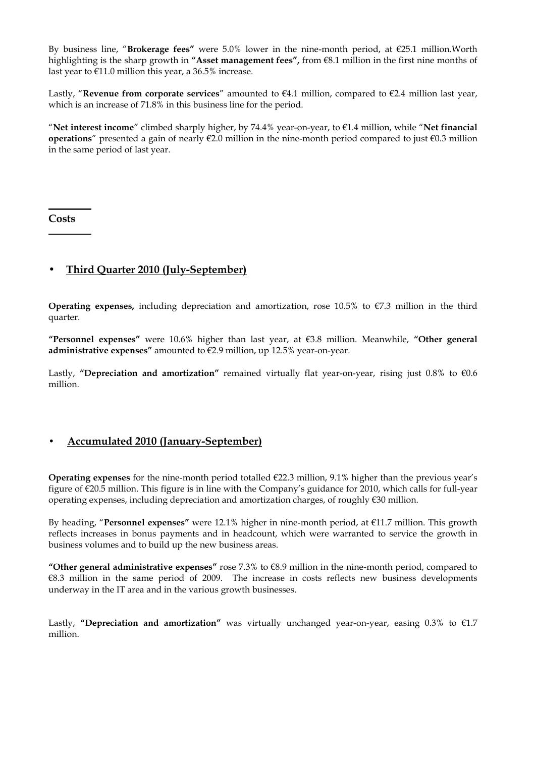By business line, "Brokerage fees" were 5.0% lower in the nine-month period, at  $\epsilon$ 25.1 million. Worth highlighting is the sharp growth in "Asset management fees", from  $\epsilon$ 8.1 million in the first nine months of last year to €11.0 million this year, a 36.5% increase.

Lastly, "Revenue from corporate services" amounted to  $E4.1$  million, compared to  $E2.4$  million last year, which is an increase of 71.8% in this business line for the period.

"Net interest income" climbed sharply higher, by 74.4% year-on-year, to  $\epsilon$ 1.4 million, while "Net financial **operations**" presented a gain of nearly  $\epsilon$ 2.0 million in the nine-month period compared to just  $\epsilon$ 0.3 million in the same period of last year.

**Costs** 

# • Third Quarter 2010 (July-September)

Operating expenses, including depreciation and amortization, rose 10.5% to €7.3 million in the third quarter.

"Personnel expenses" were 10.6% higher than last year, at  $\epsilon$ 3.8 million. Meanwhile, "Other general administrative expenses" amounted to  $E$ 2.9 million, up 12.5% year-on-year.

Lastly, "Depreciation and amortization" remained virtually flat year-on-year, rising just  $0.8\%$  to  $\epsilon 0.6$ million.

### • Accumulated 2010 (January-September)

**Operating expenses** for the nine-month period totalled  $\epsilon$ 22.3 million, 9.1% higher than the previous year's figure of €20.5 million. This figure is in line with the Company's guidance for 2010, which calls for full-year operating expenses, including depreciation and amortization charges, of roughly €30 million.

By heading, "Personnel expenses" were 12.1% higher in nine-month period, at  $\epsilon$ 11.7 million. This growth reflects increases in bonus payments and in headcount, which were warranted to service the growth in business volumes and to build up the new business areas.

"Other general administrative expenses" rose  $7.3\%$  to  $68.9$  million in the nine-month period, compared to €8.3 million in the same period of 2009. The increase in costs reflects new business developments underway in the IT area and in the various growth businesses.

Lastly, "Depreciation and amortization" was virtually unchanged year-on-year, easing  $0.3\%$  to  $\epsilon$ 1.7 million.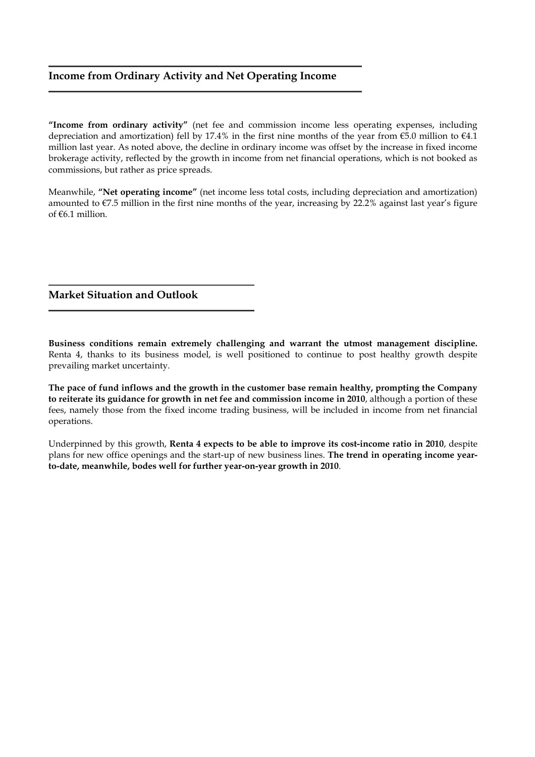# Income from Ordinary Activity and Net Operating Income

"Income from ordinary activity" (net fee and commission income less operating expenses, including depreciation and amortization) fell by 17.4% in the first nine months of the year from  $\epsilon$ 5.0 million to  $\epsilon$ 4.1 million last year. As noted above, the decline in ordinary income was offset by the increase in fixed income brokerage activity, reflected by the growth in income from net financial operations, which is not booked as commissions, but rather as price spreads.

Meanwhile, "Net operating income" (net income less total costs, including depreciation and amortization) amounted to  $\epsilon$ 7.5 million in the first nine months of the year, increasing by 22.2% against last year's figure of  $66.1$  million.

Market Situation and Outlook

Business conditions remain extremely challenging and warrant the utmost management discipline. Renta 4, thanks to its business model, is well positioned to continue to post healthy growth despite prevailing market uncertainty.

The pace of fund inflows and the growth in the customer base remain healthy, prompting the Company to reiterate its guidance for growth in net fee and commission income in 2010, although a portion of these fees, namely those from the fixed income trading business, will be included in income from net financial operations.

Underpinned by this growth, Renta 4 expects to be able to improve its cost-income ratio in 2010, despite plans for new office openings and the start-up of new business lines. The trend in operating income yearto-date, meanwhile, bodes well for further year-on-year growth in 2010.